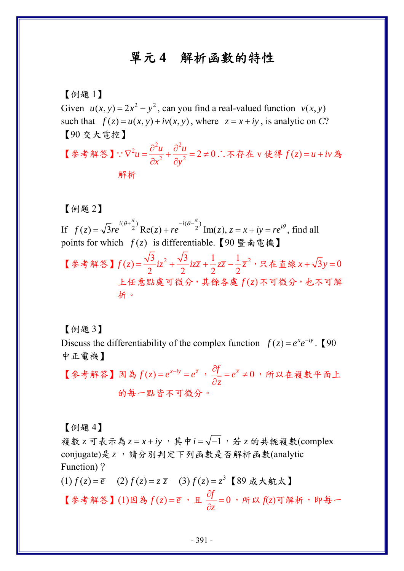## 單元 **4** 解析函數的特性

## 【例題 1】

Given  $u(x, y) = 2x^2 - y^2$ , can you find a real-valued function  $v(x, y)$ such that  $f(z) = u(x, y) + iv(x, y)$ , where  $z = x + iy$ , is analytic on *C*? 【90 交大電控】

【參考解答】 2.  $2^2$  $^{2}u = \frac{\partial^{2}u}{\partial x^{2}} + \frac{\partial^{2}u}{\partial y^{2}} = 2 \neq 0$  $x^2$   $\partial y$  $\nabla^2 u = \frac{\partial^2 u}{\partial x^2} + \frac{\partial^2 u}{\partial y^2} = 2 \neq$  $\partial x^2$   $\partial$  $\therefore \nabla^2 u = \frac{u}{2} + \frac{v}{2} = 2 \neq 0$ . 不存在 v 使得  $f(z) = u + iv$  為 解析

【例題 2】

If  $f(z) = \sqrt{3re^{i(\theta + \frac{\pi}{2})}} \text{Re}(z) + re^{-i(\theta - \frac{\pi}{2})} \text{Im}(z), z = x + iy = re^{i\theta}$  $=\sqrt{3re^{x^2}}$  Re(z) + re  $\frac{1}{2}$  Im(z),  $z = x + iy = re^{i\theta}$ , find all points for which  $f(z)$  is differentiable. 【90 暨南電機】

【参考解答】 $f(z) = \frac{\sqrt{3}}{2}iz^2 + \frac{\sqrt{3}}{2}iz\overline{z} + \frac{1}{2}z\overline{z} - \frac{1}{2}\overline{z}^2$ ,只在直線  $x + \sqrt{3}y = 0$ 上任意點處可微分,其餘各處  $f(z)$ 不可微分,也不可解 析。

【例題 3】

Discuss the differentiability of the complex function  $f(z) = e^x e^{-iy}$ . 【90 中正電機】

【參考解答】因為  $f(z) = e^{x-iy} = e^{\overline{z}}$ ,  $\frac{\partial f}{\partial \overline{z}} = e^{\overline{z}} \neq 0$ *z*  $\frac{\partial f}{\partial \overline{z}} = e^{\overline{z}} \neq$  $\frac{\partial y}{\partial z}$  = e<sup>z</sup> ≠ 0 ,所以在複數平面上 的每一點皆不可微分。

【例題 4】

複數 *z* 可表示為 *z* = *x* + iy, 其中 i = √-1, 若 z 的共軛複數(complex conjugate)是 *z* ,請分別判定下列函數是否解析函數(analytic Function)?

 $f(z) = \overline{e}$  (2)  $f(z) = z\overline{z}$  (3)  $f(z) = z^3$  【89 成大航太】

【參考解答】(1)因為 $f(z) = \overline{e}$ , 且 $\frac{\partial f}{\partial z} = 0$  $\frac{\partial f}{\partial \overline{z}}$ =0,所以 ƒ(*z*)可解析,即每一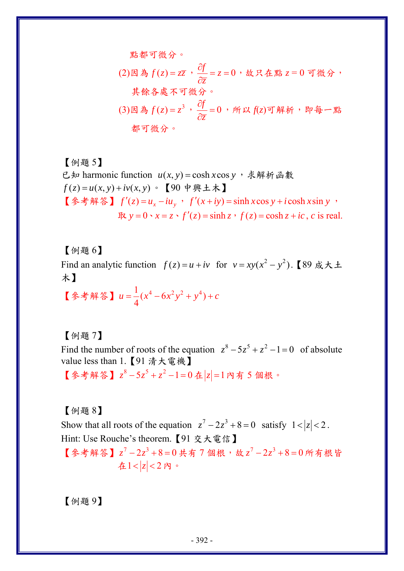點都可微分。

(2)因為
$$
f(z) = z\overline{z}
$$
,  $\frac{\partial f}{\partial \overline{z}} = z = 0$ , 被只在駕 z = 0 可微分  
其צ高名處不可微分。  
(3)因為 $f(z) = z^3$ ,  $\frac{\partial f}{\partial \overline{z}} = 0$ , 所以 $f(z)$ 可解析,即年一駅都可微分。

【例題 5】 已知 harmonic function  $u(x, y) = \cosh x \cos y$ , 求解析函數  $f(z) = u(x, y) + iv(x, y)$  · 【90 中興土木】 【参考解答】  $f'(z) = u_x - iu_y$ ,  $f'(x+iy) = \sinh x \cos y + i \cosh x \sin y$  $\text{R}$   $y = 0 \cdot x = z \cdot f'(z) = \sinh z \cdot f(z) = \cosh z + i\epsilon, c$  is real.

【例題 6】 Find an analytic function  $f(z) = u + iv$  for  $v = xy(x^2 - y^2)$ . (89 成大土 木】

【參考解答】  $u = \frac{1}{2}(x^4 - 6x^2y^2 + y^4)$  $u = \frac{1}{4} (x^4 - 6x^2y^2 + y^4) + c$ 

【例題 7】

Find the number of roots of the equation  $z^8 - 5z^5 + z^2 - 1 = 0$  of absolute value less than 1.【91 清大電機】

【參考解答】  $z^8 - 5z^5 + z^2 - 1 = 0$  在  $|z| = 1$  內有 5 個根。

【例題 8】

Show that all roots of the equation  $z^7 - 2z^3 + 8 = 0$  satisfy  $1 < |z| < 2$ . Hint: Use Rouche's theorem.【91 交大電信】

【參考解答】  $z^7 - 2z^3 + 8 = 0$ 共有 7 個根,故  $z^7 - 2z^3 + 8 = 0$  所有根皆 在 $1 < |z| < 2$ 内。

【例題 9】